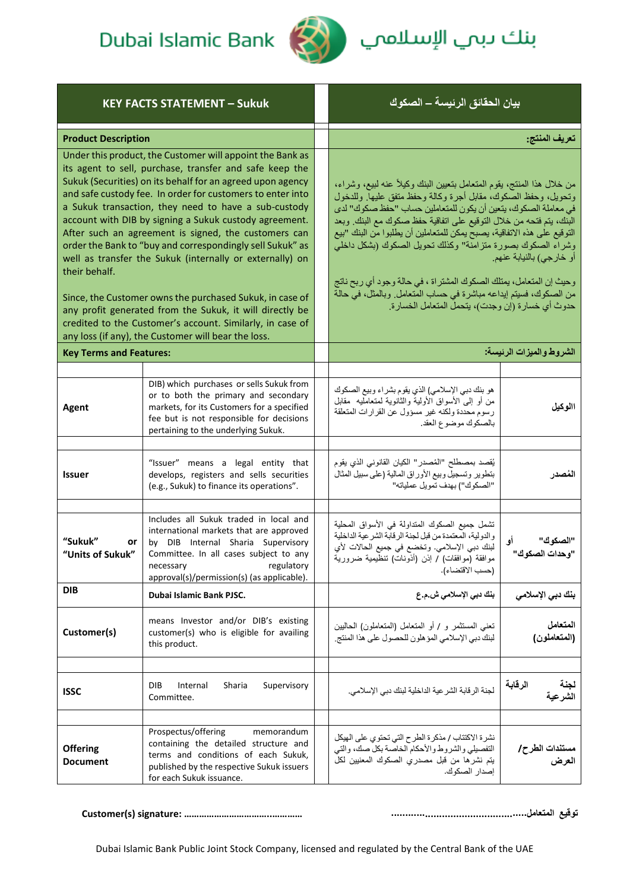

بنك دبمي الإسلام<mark>مي (</mark>

| <b>KEY FACTS STATEMENT - Sukuk</b>                                                                                                                                                                                                                                                                                                                                                                                                                                                                                                                                                                                                                                                                                                                                                                               |                                                                                                                                                                                                                                            | بيان الحقائق الرئيسة – الصكوك                                                                                                                                                                                                                                                                                                                                                                                                                                                                                                                                                                                                                        |                                  |
|------------------------------------------------------------------------------------------------------------------------------------------------------------------------------------------------------------------------------------------------------------------------------------------------------------------------------------------------------------------------------------------------------------------------------------------------------------------------------------------------------------------------------------------------------------------------------------------------------------------------------------------------------------------------------------------------------------------------------------------------------------------------------------------------------------------|--------------------------------------------------------------------------------------------------------------------------------------------------------------------------------------------------------------------------------------------|------------------------------------------------------------------------------------------------------------------------------------------------------------------------------------------------------------------------------------------------------------------------------------------------------------------------------------------------------------------------------------------------------------------------------------------------------------------------------------------------------------------------------------------------------------------------------------------------------------------------------------------------------|----------------------------------|
| <b>Product Description</b>                                                                                                                                                                                                                                                                                                                                                                                                                                                                                                                                                                                                                                                                                                                                                                                       |                                                                                                                                                                                                                                            | تعريف المنتج:                                                                                                                                                                                                                                                                                                                                                                                                                                                                                                                                                                                                                                        |                                  |
| Under this product, the Customer will appoint the Bank as<br>its agent to sell, purchase, transfer and safe keep the<br>Sukuk (Securities) on its behalf for an agreed upon agency<br>and safe custody fee. In order for customers to enter into<br>a Sukuk transaction, they need to have a sub-custody<br>account with DIB by signing a Sukuk custody agreement.<br>After such an agreement is signed, the customers can<br>order the Bank to "buy and correspondingly sell Sukuk" as<br>well as transfer the Sukuk (internally or externally) on<br>their behalf.<br>Since, the Customer owns the purchased Sukuk, in case of<br>any profit generated from the Sukuk, it will directly be<br>credited to the Customer's account. Similarly, in case of<br>any loss (if any), the Customer will bear the loss. |                                                                                                                                                                                                                                            | من خلال هذا المنتج، يقوم المتعامل بتعيين البنك وكيلاً عنه لبيع، وشراء،<br>وتحويل، وحفظ الصكوك، مقابل أجرة وكالة وحفظ متفق عليها. وللدخول<br>في معاملة الصكوك، يتعين أن يكون للمتعاملين حساب "حفظ صكوك" لدى<br>البنك، يتم فتحه من خلال التوقيع على اتفاقية حفظ صكوك مع البنك وبعد<br>التوقيع على هذه الاتفاقية، يصبح يمكن للمتعاملين أن يطلبوا من البنك "بيع<br>وشراء الصكوك بصورة متزامنة" وكذلك تحويل الصكوك (بشكل داخلي<br>أو خارجي) بالنيابة عنهم.<br>وحيث إن المتعامل، يمتلك الصكوك المشتراة ، في حالة وجود أي ربح ناتج<br>من الصكوك، فسيتم إيداعه مباشرة في حساب المتعامل. وبالمثل، في حالة<br>حدوث أي خسارة (إن وجدت)، يتحمل المتعامل الخسارة. |                                  |
| <b>Key Terms and Features:</b>                                                                                                                                                                                                                                                                                                                                                                                                                                                                                                                                                                                                                                                                                                                                                                                   |                                                                                                                                                                                                                                            |                                                                                                                                                                                                                                                                                                                                                                                                                                                                                                                                                                                                                                                      | الشروط والميزات الرئيسة:         |
|                                                                                                                                                                                                                                                                                                                                                                                                                                                                                                                                                                                                                                                                                                                                                                                                                  |                                                                                                                                                                                                                                            |                                                                                                                                                                                                                                                                                                                                                                                                                                                                                                                                                                                                                                                      |                                  |
| Agent                                                                                                                                                                                                                                                                                                                                                                                                                                                                                                                                                                                                                                                                                                                                                                                                            | DIB) which purchases or sells Sukuk from<br>or to both the primary and secondary<br>markets, for its Customers for a specified<br>fee but is not responsible for decisions<br>pertaining to the underlying Sukuk.                          | هو بنك دبي الإسلامي) الذي يقوم بشراء وبيع الصكوك<br>من أو إلى الأسواق الأولية والثانوية لمتعامليه ًمقابل<br>رسوم محددة ولكنه غير مسؤول عن القرارات المتعلقة<br>بالصكوك موضوع العقد.                                                                                                                                                                                                                                                                                                                                                                                                                                                                  | االوكيل                          |
| Issuer                                                                                                                                                                                                                                                                                                                                                                                                                                                                                                                                                                                                                                                                                                                                                                                                           | "Issuer" means a legal entity that<br>develops, registers and sells securities<br>(e.g., Sukuk) to finance its operations".                                                                                                                | يُقصد بمصطلح "المُصدر" الكيان القانوني الذي يقوم<br>بتطوير وتسجيل وبيع الأوراق المالية (على سبيل المثال<br>"الصكوك") بهدف تمويل عملياته"                                                                                                                                                                                                                                                                                                                                                                                                                                                                                                             | المُصدر                          |
| "Sukuk"<br>or<br>"Units of Sukuk"                                                                                                                                                                                                                                                                                                                                                                                                                                                                                                                                                                                                                                                                                                                                                                                | Includes all Sukuk traded in local and<br>international markets that are approved<br>by DIB Internal Sharia Supervisory<br>Committee. In all cases subject to any<br>regulatory<br>necessary<br>approval(s)/permission(s) (as applicable). | تشمل جميع الصكوك المتداولة في الأسواق المحلية<br>والدولية، المعتمدة من قبل لجنة الرقابة الشر عية الداخلية<br>لبنك دبي الإسلامي. وتخضع في جميع الحالات لأي<br>موافقة (موافقات) / إذن (أذونات) تنظيمية ضرورية<br>(حسب الاقتضاء).                                                                                                                                                                                                                                                                                                                                                                                                                       | "الصكوك"<br>أو<br>"وحدات الصكوك" |
| DIB                                                                                                                                                                                                                                                                                                                                                                                                                                                                                                                                                                                                                                                                                                                                                                                                              | Dubai Islamic Bank PJSC.                                                                                                                                                                                                                   | بنك دبي الإسلامي ش.م.ع                                                                                                                                                                                                                                                                                                                                                                                                                                                                                                                                                                                                                               | بنك دبي الإسلامي                 |
| Customer(s)                                                                                                                                                                                                                                                                                                                                                                                                                                                                                                                                                                                                                                                                                                                                                                                                      | means Investor and/or DIB's existing<br>customer(s) who is eligible for availing<br>this product.                                                                                                                                          | تعني المستثمر و / أو المتعامل (المتعاملون) الحاليين<br>لبنك دبي الإسلامي المؤ هلون للحصول على هذا المنتج.                                                                                                                                                                                                                                                                                                                                                                                                                                                                                                                                            | المتعامل<br>(المتعاملون)         |
| ISSC                                                                                                                                                                                                                                                                                                                                                                                                                                                                                                                                                                                                                                                                                                                                                                                                             | <b>DIB</b><br>Internal<br>Sharia<br>Supervisory<br>Committee.                                                                                                                                                                              | لجنة الرقابة الشرعية الداخلية لبنك دبي الإسلامي.                                                                                                                                                                                                                                                                                                                                                                                                                                                                                                                                                                                                     | الرقابة<br>لجنة<br>الشرعية       |
| <b>Offering</b><br><b>Document</b>                                                                                                                                                                                                                                                                                                                                                                                                                                                                                                                                                                                                                                                                                                                                                                               | Prospectus/offering<br>memorandum<br>containing the detailed structure and<br>terms and conditions of each Sukuk,<br>published by the respective Sukuk issuers<br>for each Sukuk issuance.                                                 | نشرة الاكتتاب / مذكرة الطرح التي تحتوي على الهيكل<br>التفصيلي والشروط والأحكام الخاصة بكل صك، والتي<br>يتم نشرها من قبل مصدري الصكوك المعنيين لكل<br>إصدار الصكوك.                                                                                                                                                                                                                                                                                                                                                                                                                                                                                   | مستندات الطرح/<br>العرض          |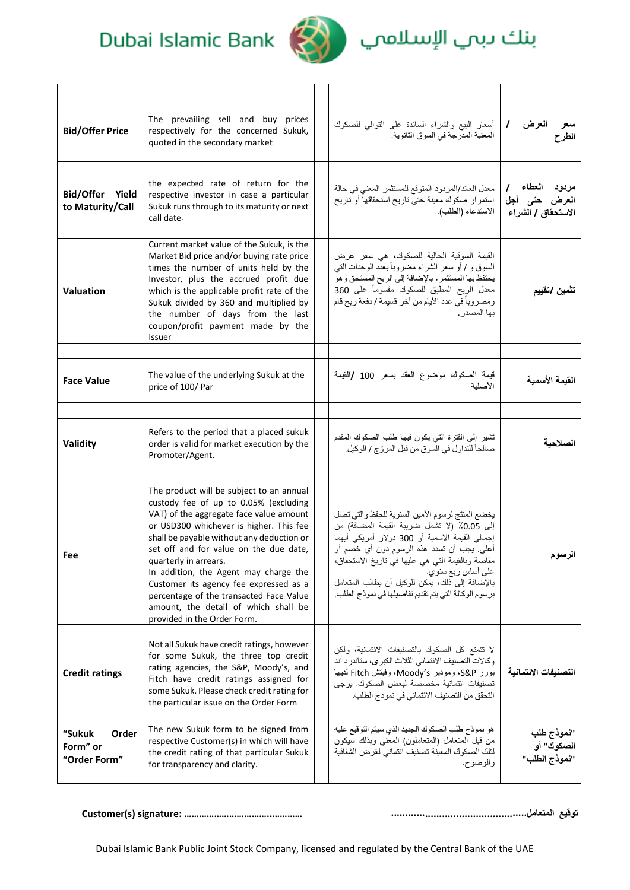

# بنك دبمي الإسلاممي

| <b>Bid/Offer Price</b>                      | The prevailing sell and buy prices<br>respectively for the concerned Sukuk,<br>quoted in the secondary market                                                                                                                                                                                                                                                                                                                                                                                | أسعار البيع والشراء السائدة على النوالي للصكوك<br>المعنية المدرجة في السوق الثانوية.                                                                                                                                                                                                                                                                                                   | $\prime$<br>العرض<br>الطرح                            |
|---------------------------------------------|----------------------------------------------------------------------------------------------------------------------------------------------------------------------------------------------------------------------------------------------------------------------------------------------------------------------------------------------------------------------------------------------------------------------------------------------------------------------------------------------|----------------------------------------------------------------------------------------------------------------------------------------------------------------------------------------------------------------------------------------------------------------------------------------------------------------------------------------------------------------------------------------|-------------------------------------------------------|
| Bid/Offer Yield<br>to Maturity/Call         | the expected rate of return for the<br>respective investor in case a particular<br>Sukuk runs through to its maturity or next<br>call date.                                                                                                                                                                                                                                                                                                                                                  | معدل العائد/المردود المتوقع للمستثمر المعنى في حالة<br>استمرار صكوك معينة حتى تاريخ استحقاقها أو تاريخ<br>الاستدعاء (الطلب).                                                                                                                                                                                                                                                           | مردود العطاء /<br>العرض حتى آجل<br>الاستحقاق / الشراء |
| Valuation                                   | Current market value of the Sukuk, is the<br>Market Bid price and/or buying rate price<br>times the number of units held by the<br>Investor, plus the accrued profit due<br>which is the applicable profit rate of the<br>Sukuk divided by 360 and multiplied by<br>the number of days from the last<br>coupon/profit payment made by the<br><b>Issuer</b>                                                                                                                                   | القيمة السوقية الحالية للصكوك، هي سعر عرض<br>السوق و / أو سعر الشراء مضروباً بعدد الوحدات التي<br>يحتفظ بها المستثمر ، بالإضافة إلى الربح المستحق وهو<br>معدل الربح المطبق للصكوك مقسوماً على 360<br>ومضروباً في عدد الأيام من أخر قسيمة / دفعة ربح قام<br>بها المصدر .                                                                                                                | تثمين /تقييم                                          |
| <b>Face Value</b>                           | The value of the underlying Sukuk at the<br>price of 100/Par                                                                                                                                                                                                                                                                                                                                                                                                                                 | قيمة الصكوك موضوع العقد بسعر 100 /القيمة<br>الأصلية                                                                                                                                                                                                                                                                                                                                    | القيمة الأسمية                                        |
|                                             |                                                                                                                                                                                                                                                                                                                                                                                                                                                                                              |                                                                                                                                                                                                                                                                                                                                                                                        |                                                       |
| Validity                                    | Refers to the period that a placed sukuk<br>order is valid for market execution by the<br>Promoter/Agent.                                                                                                                                                                                                                                                                                                                                                                                    | تشير إلى الفترة التي يكون فيها طلب الصكوك المقدم<br>صالحاً للتداول في السوق من قبل المروّج / الوكيل.                                                                                                                                                                                                                                                                                   | الصلاحية                                              |
|                                             |                                                                                                                                                                                                                                                                                                                                                                                                                                                                                              |                                                                                                                                                                                                                                                                                                                                                                                        |                                                       |
| Fee                                         | The product will be subject to an annual<br>custody fee of up to 0.05% (excluding<br>VAT) of the aggregate face value amount<br>or USD300 whichever is higher. This fee<br>shall be payable without any deduction or<br>set off and for value on the due date,<br>quarterly in arrears.<br>In addition, the Agent may charge the<br>Customer its agency fee expressed as a<br>percentage of the transacted Face Value<br>amount, the detail of which shall be<br>provided in the Order Form. | يخضع المنتج لرسوم الأمين السنوية للحفظ والتي تصل<br>إلى 0.05٪ (لا تشمل ضريبة القيمة المضافة) من<br>إجمالي القيمة الاسمية أو 300 دولار أمريكي أيهما<br>أعلى. يجب أن نسدد هذه الرسوم دون أي خصم أو<br>مقاصة وبالقيمة التي هي عليها في تاريخ الاستحقاق،<br>على أساس ربع سنوي.<br>بالإضافة إلى ذلك، يمكن للوكيل أن يطالب المتعامل<br>برسوم الوكالة التي يتم تقديم تفاصيلها في نموذج الطلب. | الرسوم                                                |
|                                             |                                                                                                                                                                                                                                                                                                                                                                                                                                                                                              |                                                                                                                                                                                                                                                                                                                                                                                        |                                                       |
| <b>Credit ratings</b>                       | Not all Sukuk have credit ratings, however<br>for some Sukuk, the three top credit<br>rating agencies, the S&P, Moody's, and<br>Fitch have credit ratings assigned for<br>some Sukuk. Please check credit rating for<br>the particular issue on the Order Form                                                                                                                                                                                                                               | لا نتمتع كل الصكوك بالتصنيفات الائتمانية، ولكن<br>وكالات التصنيف الائتماني الثلاث الكبرى، ستاندرد آند<br>بورز S&P، وموديز Moody's، وفيتش Fitch لديها<br>تصنيفات ائتمانية مخصصة لبعض الصكوك. يرجى<br>التحقق من التصنيف الائتماني في نموذج الطلب.                                                                                                                                        | التصنيفات الائتمانية                                  |
| "Sukuk<br>Order<br>Form" or<br>"Order Form" | The new Sukuk form to be signed from<br>respective Customer(s) in which will have<br>the credit rating of that particular Sukuk<br>for transparency and clarity.                                                                                                                                                                                                                                                                                                                             | هو نموذج طلب الصكوك الجديد الذي سيتم التوقيع عليه<br>من قبل المنعامل (المنعاملون) المعنى وبذلك سيكون<br>لنلك الصكوك المعينة تصنيف ائتماني لغرض الشفافية<br>والوضوح.                                                                                                                                                                                                                    | "نموذج طلب<br>الصكوك" أو<br>"نموذج الطلب"             |

**Customer(s) signature: ……………………………..………… ................................................المتعامل توقيع**

Dubai Islamic Bank Public Joint Stock Company, licensed and regulated by the Central Bank of the UAE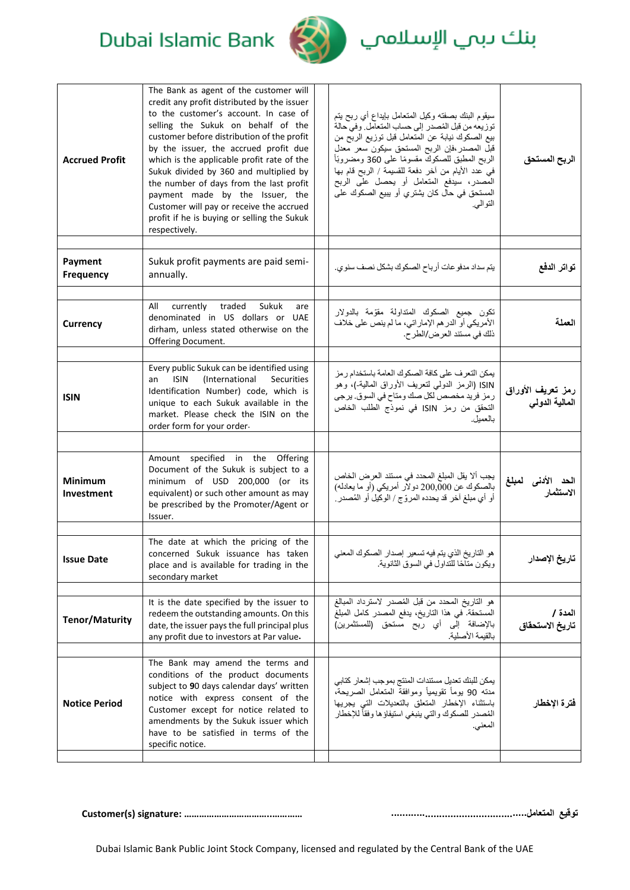# بنك دبمي الإسلاممي



### Dubai Islamic Bank

| <b>Accrued Profit</b>               | The Bank as agent of the customer will<br>credit any profit distributed by the issuer<br>to the customer's account. In case of<br>selling the Sukuk on behalf of the<br>customer before distribution of the profit<br>by the issuer, the accrued profit due<br>which is the applicable profit rate of the<br>Sukuk divided by 360 and multiplied by<br>the number of days from the last profit<br>payment made by the Issuer, the<br>Customer will pay or receive the accrued<br>profit if he is buying or selling the Sukuk<br>respectively. | سيقوم البنك بصفته وكيل المتعامل بايداع أي ربح يتم<br>توزيعه من قبل المُصدر إلى حساب المتعامل وفي حالة<br>بيع الصكوك نيابة عن المتعامل قبل توزيع الربَّح من<br>قبل المصدر ،فإن الربح المستحق سيكون سعر معدل<br>الربح المطبق للصكوكَ مقسومًا على 360 ومضروبًاً<br>في عدد الأيام من آخر دفعة للقسيمة / الربح قام بها<br>الْمَصدر، سيدفع المتعامل أو يحصل علَى الربح<br>المستحق في حال كان يشتري أو يبيع الصكوك على<br>النو البي. | الربح المستحق                        |
|-------------------------------------|-----------------------------------------------------------------------------------------------------------------------------------------------------------------------------------------------------------------------------------------------------------------------------------------------------------------------------------------------------------------------------------------------------------------------------------------------------------------------------------------------------------------------------------------------|-------------------------------------------------------------------------------------------------------------------------------------------------------------------------------------------------------------------------------------------------------------------------------------------------------------------------------------------------------------------------------------------------------------------------------|--------------------------------------|
| Payment<br><b>Frequency</b>         | Sukuk profit payments are paid semi-<br>annually.                                                                                                                                                                                                                                                                                                                                                                                                                                                                                             | يتم سداد مدفو عات أرباح الصكوك بشكل نصف سنوي.                                                                                                                                                                                                                                                                                                                                                                                 | تواتر الدفع                          |
| <b>Currency</b>                     | currently traded<br>All<br>Sukuk<br>are<br>denominated in US dollars or UAE<br>dirham, unless stated otherwise on the<br>Offering Document.                                                                                                                                                                                                                                                                                                                                                                                                   | تكون جميع الصكوك المتداولة مقوّمة بالدولار<br>الأمريكي أو الدر هم الإماراتي، ما لم ينص على خلاف<br>ذلك في مستند العرض/الطر ح.                                                                                                                                                                                                                                                                                                 | العملة                               |
| <b>ISIN</b>                         | Every public Sukuk can be identified using<br><b>ISIN</b><br><i>(International</i><br>Securities<br>an<br>Identification Number) code, which is<br>unique to each Sukuk available in the<br>market. Please check the ISIN on the<br>order form for your order.                                                                                                                                                                                                                                                                                | يمكن التعرف على كافة الصكوك العامة باستخدام رمز<br>ISIN (الرمز الدولي لتعريف الأوراق المالية-)، وهو<br>ر مز فريد مخصص لكل صك ومناح في السوق. يرجى<br>التحقق من رمز ISIN في نموذج الطلب الخاص<br>بالعمبل.                                                                                                                                                                                                                      | رمز تعريف الأوراق<br>المعالية الدولى |
|                                     | Amount specified in the Offering<br>Document of the Sukuk is subject to a                                                                                                                                                                                                                                                                                                                                                                                                                                                                     |                                                                                                                                                                                                                                                                                                                                                                                                                               |                                      |
| <b>Minimum</b><br><b>Investment</b> | minimum of USD 200,000 (or its<br>equivalent) or such other amount as may<br>be prescribed by the Promoter/Agent or<br>Issuer.                                                                                                                                                                                                                                                                                                                                                                                                                | يجب ألا يقل المبلغ المحدد في مستند العرض الخاص<br>بالصكوك عن 200,000 دولار أمريكي (أو ما يعادله)<br>أو أي مبلغ آخر قد يحدده المروّج / الوكيل أو المُصدر .                                                                                                                                                                                                                                                                     | لمبلغ                                |
| <b>Issue Date</b>                   | The date at which the pricing of the<br>concerned Sukuk issuance has taken<br>place and is available for trading in the<br>secondary market                                                                                                                                                                                                                                                                                                                                                                                                   | هو التاريخ الذي يتم فيه تسعير إصدار الصكوك المعنى<br>ويكون مناحًا للنداول في السوق الثانوية.                                                                                                                                                                                                                                                                                                                                  | تاريخ الإصدار                        |
| <b>Tenor/Maturity</b>               | It is the date specified by the issuer to<br>redeem the outstanding amounts. On this<br>date, the issuer pays the full principal plus<br>any profit due to investors at Par value.                                                                                                                                                                                                                                                                                                                                                            | هو التاريخ المحدد من قبل المُصدر لاسترداد المبالغ<br>المستحقة. في هذا التاريخ، يدفع المصدر كامل المبلغ<br>بالإضافة إلى أي ربح مستحق (للمستثمرين)<br>بالقيمة الأصلية.                                                                                                                                                                                                                                                          | المدة /<br>تاريخ الاستحقاق           |
| <b>Notice Period</b>                | The Bank may amend the terms and<br>conditions of the product documents<br>subject to 90 days calendar days' written<br>notice with express consent of the<br>Customer except for notice related to<br>amendments by the Sukuk issuer which<br>have to be satisfied in terms of the<br>specific notice.                                                                                                                                                                                                                                       | يمكن للبنك تعديل مستندات المنتج بموجب إشعار كتابي<br>مدته 90 يوماً تقويمياً وموافقة المتعامل الصريحة،<br>باستثناء الإخطار المنعلق بالتعديلات التي يجريها<br>المُصدر للصكوك والتي ينبغي استيفاؤها وفقاً للإخطار<br>المعنى.                                                                                                                                                                                                     | فترة الإخطار                         |

**Customer(s) signature: ……………………………..………… ................................................المتعامل توقيع**

Dubai Islamic Bank Public Joint Stock Company, licensed and regulated by the Central Bank of the UAE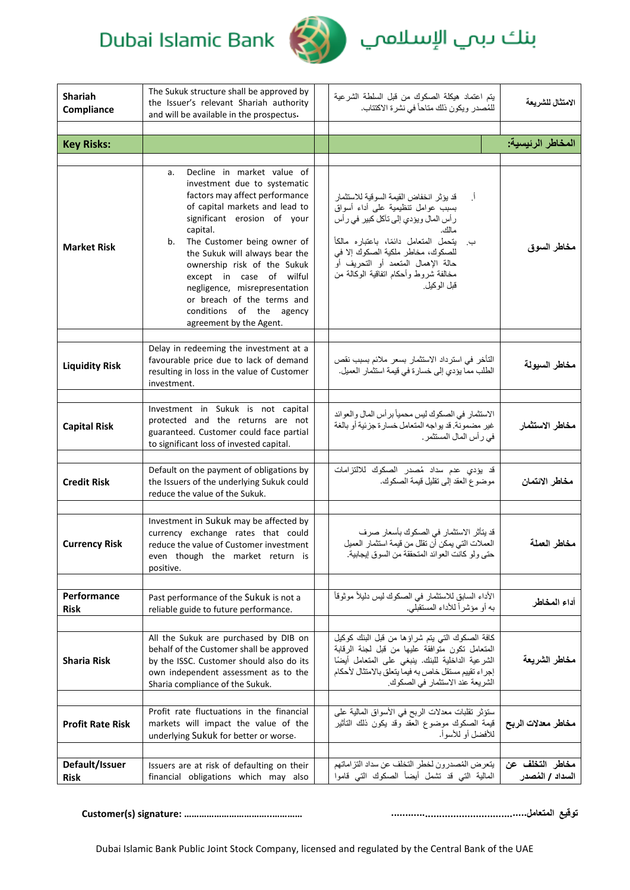

# بنك دبمي الإسلاممي

| <b>Shariah</b><br>Compliance  | The Sukuk structure shall be approved by<br>the Issuer's relevant Shariah authority<br>and will be available in the prospectus.                                                                                                                                                                                                                                                                                                         | يتم اعتماد هيكلة الصكوك من قبل السلطة الشرعية<br>للمُصدر ويكون ذلك مناحاً في نشرة الاكتتاب.                                                                                                                                                                                                                              | الامتثال للشريعة                    |
|-------------------------------|-----------------------------------------------------------------------------------------------------------------------------------------------------------------------------------------------------------------------------------------------------------------------------------------------------------------------------------------------------------------------------------------------------------------------------------------|--------------------------------------------------------------------------------------------------------------------------------------------------------------------------------------------------------------------------------------------------------------------------------------------------------------------------|-------------------------------------|
| <b>Key Risks:</b>             |                                                                                                                                                                                                                                                                                                                                                                                                                                         |                                                                                                                                                                                                                                                                                                                          | المخاطر الرئيسية:                   |
|                               |                                                                                                                                                                                                                                                                                                                                                                                                                                         |                                                                                                                                                                                                                                                                                                                          |                                     |
| <b>Market Risk</b>            | Decline in market value of<br>a.<br>investment due to systematic<br>factors may affect performance<br>of capital markets and lead to<br>significant erosion of your<br>capital.<br>The Customer being owner of<br>b.<br>the Sukuk will always bear the<br>ownership risk of the Sukuk<br>except in case of wilful<br>negligence, misrepresentation<br>or breach of the terms and<br>conditions of the agency<br>agreement by the Agent. | قد يؤثر انخفاض القيمة السوقية للاستثمار<br>Ì.<br>بسبب عوامل نتظيمية على أداء أسواق<br>ر أس المال ويؤدي إلى نآكل كبير في ر أس<br>مالك.<br>يتحمل المتعامل دائمًا، باعتباره مالكاً<br>ب.<br>للصكوك، مخاطر ملكية الصكوك إلا في<br>حالة الإهمال المتعمد أو التحريف أو<br>مخالفة شروط وأحكام انفاقية الوكالة من<br>قبل الوكيل. | مخاطر السوق                         |
| <b>Liquidity Risk</b>         | Delay in redeeming the investment at a<br>favourable price due to lack of demand<br>resulting in loss in the value of Customer<br>investment.                                                                                                                                                                                                                                                                                           | التأخر في استرداد الاستثمار بسعر ملائم بسبب نقص<br>الطلب مما يؤدي إلى خسارة في قيمة استثمار العميل.                                                                                                                                                                                                                      | مخاطر السيولة                       |
| <b>Capital Risk</b>           | Investment in Sukuk is not capital<br>protected and the returns are not<br>guaranteed. Customer could face partial<br>to significant loss of invested capital.                                                                                                                                                                                                                                                                          | الاستثمار في الصكوك ليس محمياً بر أس المال والعوائد<br>غير مضمونة. قد يواجه المتعامل خسارة جزئية أو بالغة<br>في رأس المال المستثمر .                                                                                                                                                                                     | مخاطر الاستثمار                     |
| <b>Credit Risk</b>            | Default on the payment of obligations by<br>the Issuers of the underlying Sukuk could<br>reduce the value of the Sukuk.                                                                                                                                                                                                                                                                                                                 | قد يؤدي عدم سداد مُصدر الصكوك للالتزامات<br>موضوع العقد إلى نقليل قيمة الصكوك.                                                                                                                                                                                                                                           | مخاطر الائتمان                      |
| <b>Currency Risk</b>          | Investment in Sukuk may be affected by<br>currency exchange rates that could<br>reduce the value of Customer investment<br>even though the market return is<br>positive.                                                                                                                                                                                                                                                                | قد يتأثر الاستثمار في الصكوك بأسعار صرف<br>العملات التي يمكن أن نقلل من قيمة استثمار العميل<br>حتى ولو كانت العوائد المتحققة من السوق إيجابية.                                                                                                                                                                           | مخاطر العملة                        |
| Performance<br><b>Risk</b>    | Past performance of the Sukuk is not a<br>reliable guide to future performance.                                                                                                                                                                                                                                                                                                                                                         | الأداء السابق للاستثمار في الصكوك ليس دليلاً موثوقاً<br>به أو مؤشراً للأداء المستقبلي.                                                                                                                                                                                                                                   | أداء المخاطر                        |
| <b>Sharia Risk</b>            | All the Sukuk are purchased by DIB on<br>behalf of the Customer shall be approved<br>by the ISSC. Customer should also do its<br>own independent assessment as to the<br>Sharia compliance of the Sukuk.                                                                                                                                                                                                                                | كافة الصكوك التي يتم شراؤها من قبل البنك كوكيل<br>المتعامل تكون متوافقة عليها من قبل لجنة الرقابة<br>الشرعية الداخلية للبنك. ينبغي على المتعامل أيضًا<br>إجراء تقييم مستقل خاص به فيما يتعلق بالامتثال لأحكام<br>الشريعة عند الاستثمار في الصكوك.                                                                        | مخاطر الشريعة                       |
| <b>Profit Rate Risk</b>       | Profit rate fluctuations in the financial<br>markets will impact the value of the<br>underlying Sukuk for better or worse.                                                                                                                                                                                                                                                                                                              | ستؤثر نقلبات معدلات الربح في الأسواق المالية على<br>قيمة الصكوك موضوع العقد وقد يكون ذلك التأثير<br>للأفضل أو للأسوأ.                                                                                                                                                                                                    | مخاطر معدلات الربح                  |
| Default/Issuer<br><b>Risk</b> | Issuers are at risk of defaulting on their<br>financial obligations which may also                                                                                                                                                                                                                                                                                                                                                      | يتعرض المُصدرون لخطر التخلف عن سداد التزاماتهم<br>المالية التي قد تشمل أيضاً الصكوك التي قاموا                                                                                                                                                                                                                           | مخاطر التخلف عن<br>السداد / المُصدر |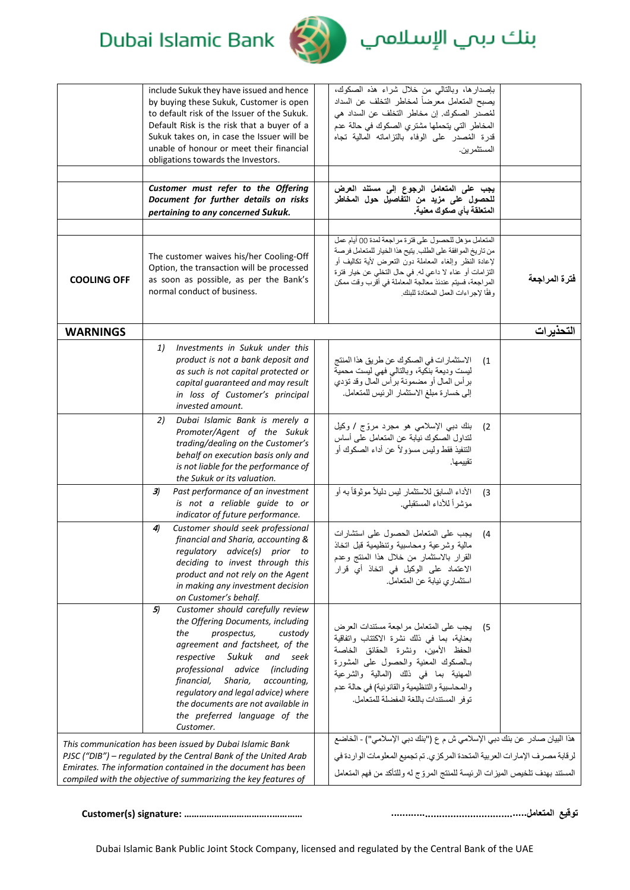

بنك دبمي الإسلاممي

|                                                                                                                                                                                                                                                               | include Sukuk they have issued and hence<br>by buying these Sukuk, Customer is open<br>to default risk of the Issuer of the Sukuk.<br>Default Risk is the risk that a buyer of a<br>Sukuk takes on, in case the Issuer will be<br>unable of honour or meet their financial<br>obligations towards the Investors.                                                                 | بإصدارها، وبالتالي من خلال شراء هذه الصكوك،<br>يصبح المتعامل معرضاً لمخاطر التخلف عن السداد<br>لمُصدر الصكوك. إن مخاطر التخلف عن السداد هي<br>المخاطر التي يتحملها مشتري الصكوك في حالة عدم<br>قدرة المُصدر على الوفاء بالنزاماته المالية تجاه<br>المستثمر بن.                                                                              |               |
|---------------------------------------------------------------------------------------------------------------------------------------------------------------------------------------------------------------------------------------------------------------|----------------------------------------------------------------------------------------------------------------------------------------------------------------------------------------------------------------------------------------------------------------------------------------------------------------------------------------------------------------------------------|---------------------------------------------------------------------------------------------------------------------------------------------------------------------------------------------------------------------------------------------------------------------------------------------------------------------------------------------|---------------|
|                                                                                                                                                                                                                                                               | Customer must refer to the Offering<br>Document for further details on risks<br>pertaining to any concerned Sukuk.                                                                                                                                                                                                                                                               | يجب على المتعامل الرجوع إلى مستند العرض<br>للحصول على مزيد من التفاصيل حول المخاطر<br>المتعلقة بأي صكوك معنية.                                                                                                                                                                                                                              |               |
| <b>COOLING OFF</b>                                                                                                                                                                                                                                            | The customer waives his/her Cooling-Off<br>Option, the transaction will be processed<br>as soon as possible, as per the Bank's<br>normal conduct of business.                                                                                                                                                                                                                    | المتعامل مؤهل للحصول على فترة مراجعة لمدة 00 أيام عمل<br>من تاريخ الموافقة على الطلب. يتيح هذا الخيار للمتعامل فرصة<br>لإعادة النظر وإلغاء المعاملة دون النعرض لأية نكاليف أو<br>النّزامات أو عناء لا داعي له. في حال النخلي عن خيار فترة<br>المراجعة، فسيتم عندئذ معالجة المعاملة في أقرب وقت ممكن<br>وفقًا لإجر اءات العمل المعتادة للبنك | فترة المراجعة |
| <b>WARNINGS</b>                                                                                                                                                                                                                                               |                                                                                                                                                                                                                                                                                                                                                                                  |                                                                                                                                                                                                                                                                                                                                             | التحذيرات     |
|                                                                                                                                                                                                                                                               | Investments in Sukuk under this<br>1)<br>product is not a bank deposit and<br>as such is not capital protected or<br>capital guaranteed and may result<br>in loss of Customer's principal<br>invested amount.                                                                                                                                                                    | الاستثمار ات في الصكوك عن طريق هذا المنتج<br>(1)<br>ليست وديعة بنكية، وبالنالـي فهي ليست محميَّة<br>برأس المال أو مضمونة برأس المال وقد تؤدي<br>إلى خسارة مبلغ الاستثمار الرئيس للمتعامل.                                                                                                                                                   |               |
|                                                                                                                                                                                                                                                               | Dubai Islamic Bank is merely a<br>2)<br>Promoter/Agent of the Sukuk<br>trading/dealing on the Customer's<br>behalf on execution basis only and<br>is not liable for the performance of<br>the Sukuk or its valuation.                                                                                                                                                            | بنك دبي الإسلامي هو مجرد مروّج / وكيل<br>(2)<br>لنداول الصكوك نيابة عن المتعامل على أساس<br>التنفيذ فقط وليس مسؤولاً عن أداء الصكوك أو<br>نقبيمها.                                                                                                                                                                                          |               |
|                                                                                                                                                                                                                                                               | 3)<br>Past performance of an investment<br>is not a reliable guide to or<br>indicator of future performance.                                                                                                                                                                                                                                                                     | الأداء السابق للاستثمار ليس دليلاً موثوقاً به أو<br>(3)<br>مؤشراً للأداء المستقبلي.                                                                                                                                                                                                                                                         |               |
|                                                                                                                                                                                                                                                               | Customer should seek professional<br>4)<br>financial and Sharia, accounting &<br>regulatory advice(s) prior to<br>deciding to invest through this<br>product and not rely on the Agent<br>in making any investment decision<br>on Customer's behalf.                                                                                                                             | يجب على المتعامل الحصول على استشارات<br>(4)<br>مالية وشرعية ومحاسبية وتنظيمية قبل انخاذ<br>القرار بالاستتمار من خلال هدا المنتج وعدم<br>الاعتماد على الوكيل في اتخاذ أي قرار<br>استثماري نيابة عن المتعامل.                                                                                                                                 |               |
|                                                                                                                                                                                                                                                               | Customer should carefully review<br>5)<br>the Offering Documents, including<br>prospectus,<br>custody<br>the<br>agreement and factsheet, of the<br>respective Sukuk and seek<br>professional advice (including<br>financial,<br>Sharia,<br>accounting,<br>regulatory and legal advice) where<br>the documents are not available in<br>the preferred language of the<br>Customer. | يجب على المنعامل مراجعة مستندات العرض<br>- (5<br>بعناية، بما في ذلك نشرة الاكتتاب واتفاقية<br>الحفظ الأمين، ونشرة الحقائق الخاصة<br>ببالصكوك المعنية والحصول على المشورة<br>المهنية بما في ذلك (المالية والشرعية<br>والمحاسبية والتنظيمية والقانونية) في حالة عدم<br>توفر المستندات باللغة المفضلة للمتعامل.                                |               |
| This communication has been issued by Dubai Islamic Bank<br>PJSC ("DIB") - regulated by the Central Bank of the United Arab<br>Emirates. The information contained in the document has been<br>compiled with the objective of summarizing the key features of |                                                                                                                                                                                                                                                                                                                                                                                  | هذا البيان صادر عن بنك دبي الإسلامي ش م ع ("بنك دبي الإسلامي") - الخاضع<br>لرقابة مصرف الإمارات العربية المتحدة المركزي. تم تجميع المعلومات الواردة في<br>المستند بهدف تلخيص الميزات الرئيسة للمنتج المروّج له وللتأكد من فهم المتعامل                                                                                                      |               |